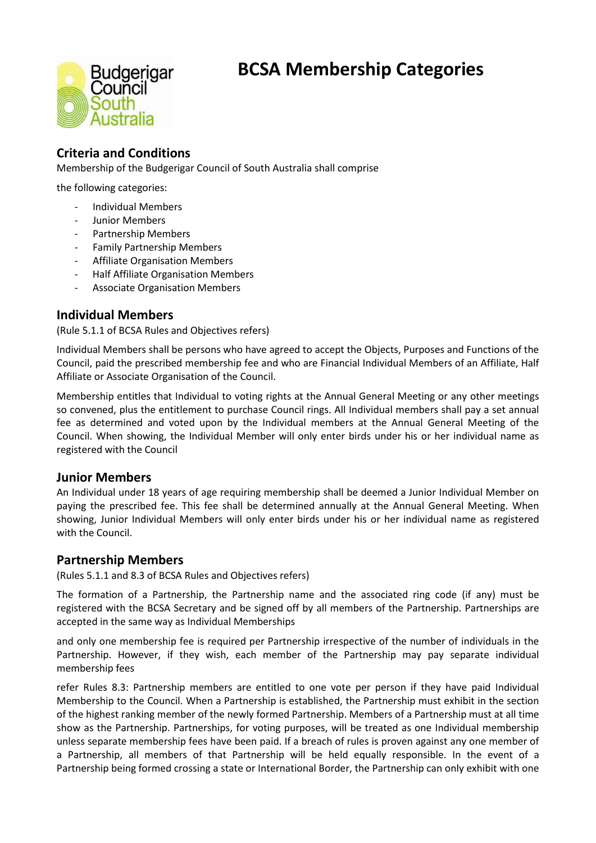# **BCSA Membership Categories**



# **Criteria and Conditions**

Membership of the Budgerigar Council of South Australia shall comprise

the following categories:

- Individual Members
- Junior Members
- Partnership Members
- Family Partnership Members
- Affiliate Organisation Members
- Half Affiliate Organisation Members
- Associate Organisation Members

## **Individual Members**

(Rule 5.1.1 of BCSA Rules and Objectives refers)

Individual Members shall be persons who have agreed to accept the Objects, Purposes and Functions of the Council, paid the prescribed membership fee and who are Financial Individual Members of an Affiliate, Half Affiliate or Associate Organisation of the Council.

Membership entitles that Individual to voting rights at the Annual General Meeting or any other meetings so convened, plus the entitlement to purchase Council rings. All Individual members shall pay a set annual fee as determined and voted upon by the Individual members at the Annual General Meeting of the Council. When showing, the Individual Member will only enter birds under his or her individual name as registered with the Council

## **Junior Members**

An Individual under 18 years of age requiring membership shall be deemed a Junior Individual Member on paying the prescribed fee. This fee shall be determined annually at the Annual General Meeting. When showing, Junior Individual Members will only enter birds under his or her individual name as registered with the Council.

#### **Partnership Members**

(Rules 5.1.1 and 8.3 of BCSA Rules and Objectives refers)

The formation of a Partnership, the Partnership name and the associated ring code (if any) must be registered with the BCSA Secretary and be signed off by all members of the Partnership. Partnerships are accepted in the same way as Individual Memberships

and only one membership fee is required per Partnership irrespective of the number of individuals in the Partnership. However, if they wish, each member of the Partnership may pay separate individual membership fees

refer Rules 8.3: Partnership members are entitled to one vote per person if they have paid Individual Membership to the Council. When a Partnership is established, the Partnership must exhibit in the section of the highest ranking member of the newly formed Partnership. Members of a Partnership must at all time show as the Partnership. Partnerships, for voting purposes, will be treated as one Individual membership unless separate membership fees have been paid. If a breach of rules is proven against any one member of a Partnership, all members of that Partnership will be held equally responsible. In the event of a Partnership being formed crossing a state or International Border, the Partnership can only exhibit with one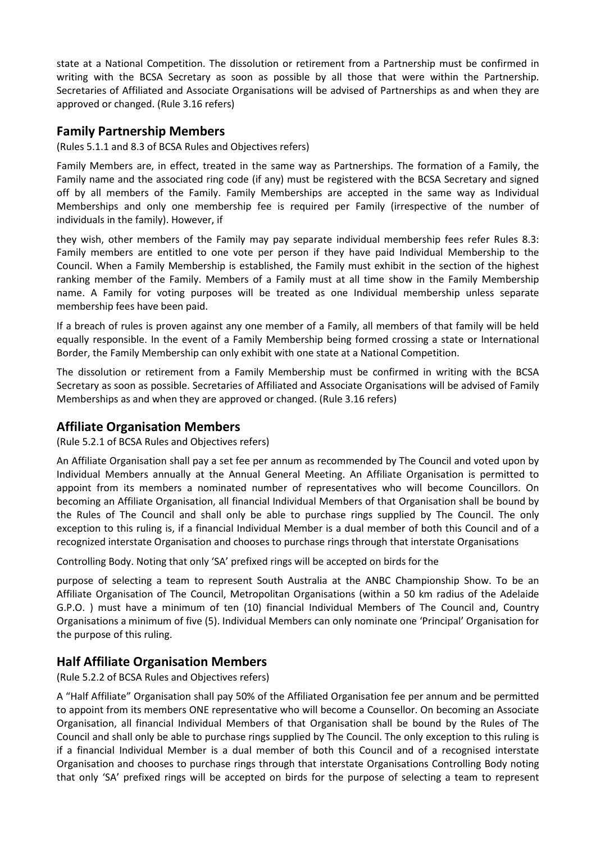state at a National Competition. The dissolution or retirement from a Partnership must be confirmed in writing with the BCSA Secretary as soon as possible by all those that were within the Partnership. Secretaries of Affiliated and Associate Organisations will be advised of Partnerships as and when they are approved or changed. (Rule 3.16 refers)

## **Family Partnership Members**

(Rules 5.1.1 and 8.3 of BCSA Rules and Objectives refers)

Family Members are, in effect, treated in the same way as Partnerships. The formation of a Family, the Family name and the associated ring code (if any) must be registered with the BCSA Secretary and signed off by all members of the Family. Family Memberships are accepted in the same way as Individual Memberships and only one membership fee is required per Family (irrespective of the number of individuals in the family). However, if

they wish, other members of the Family may pay separate individual membership fees refer Rules 8.3: Family members are entitled to one vote per person if they have paid Individual Membership to the Council. When a Family Membership is established, the Family must exhibit in the section of the highest ranking member of the Family. Members of a Family must at all time show in the Family Membership name. A Family for voting purposes will be treated as one Individual membership unless separate membership fees have been paid.

If a breach of rules is proven against any one member of a Family, all members of that family will be held equally responsible. In the event of a Family Membership being formed crossing a state or International Border, the Family Membership can only exhibit with one state at a National Competition.

The dissolution or retirement from a Family Membership must be confirmed in writing with the BCSA Secretary as soon as possible. Secretaries of Affiliated and Associate Organisations will be advised of Family Memberships as and when they are approved or changed. (Rule 3.16 refers)

## **Affiliate Organisation Members**

(Rule 5.2.1 of BCSA Rules and Objectives refers)

An Affiliate Organisation shall pay a set fee per annum as recommended by The Council and voted upon by Individual Members annually at the Annual General Meeting. An Affiliate Organisation is permitted to appoint from its members a nominated number of representatives who will become Councillors. On becoming an Affiliate Organisation, all financial Individual Members of that Organisation shall be bound by the Rules of The Council and shall only be able to purchase rings supplied by The Council. The only exception to this ruling is, if a financial Individual Member is a dual member of both this Council and of a recognized interstate Organisation and chooses to purchase rings through that interstate Organisations

Controlling Body. Noting that only 'SA' prefixed rings will be accepted on birds for the

purpose of selecting a team to represent South Australia at the ANBC Championship Show. To be an Affiliate Organisation of The Council, Metropolitan Organisations (within a 50 km radius of the Adelaide G.P.O. ) must have a minimum of ten (10) financial Individual Members of The Council and, Country Organisations a minimum of five (5). Individual Members can only nominate one 'Principal' Organisation for the purpose of this ruling.

## **Half Affiliate Organisation Members**

(Rule 5.2.2 of BCSA Rules and Objectives refers)

A "Half Affiliate" Organisation shall pay 50% of the Affiliated Organisation fee per annum and be permitted to appoint from its members ONE representative who will become a Counsellor. On becoming an Associate Organisation, all financial Individual Members of that Organisation shall be bound by the Rules of The Council and shall only be able to purchase rings supplied by The Council. The only exception to this ruling is if a financial Individual Member is a dual member of both this Council and of a recognised interstate Organisation and chooses to purchase rings through that interstate Organisations Controlling Body noting that only 'SA' prefixed rings will be accepted on birds for the purpose of selecting a team to represent